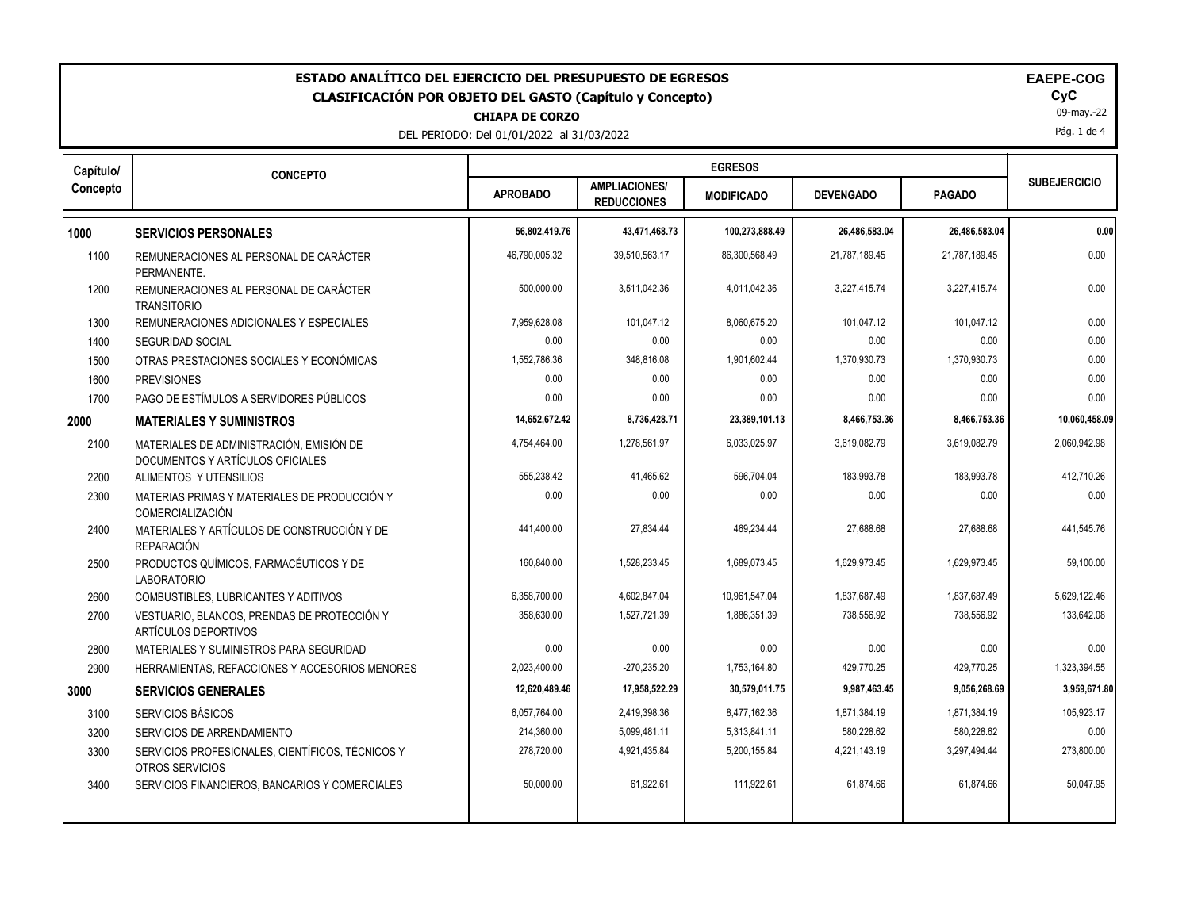| ESTADO ANALÍTICO DEL EJERCICIO DEL PRESUPUESTO DE EGRESOS<br><b>CLASIFICACIÓN POR OBJETO DEL GASTO (Capítulo y Concepto)</b><br><b>CHIAPA DE CORZO</b><br>DEL PERIODO: Del 01/01/2022 al 31/03/2022 |                                                                              |                 |                                            |                   |                  |               | <b>EAEPE-COG</b><br>CyC<br>09-may.-22<br>Pág. 1 de 4 |
|-----------------------------------------------------------------------------------------------------------------------------------------------------------------------------------------------------|------------------------------------------------------------------------------|-----------------|--------------------------------------------|-------------------|------------------|---------------|------------------------------------------------------|
| Capítulo/                                                                                                                                                                                           | <b>CONCEPTO</b>                                                              |                 |                                            | <b>EGRESOS</b>    |                  |               | <b>SUBEJERCICIO</b>                                  |
| Concepto                                                                                                                                                                                            |                                                                              | <b>APROBADO</b> | <b>AMPLIACIONES/</b><br><b>REDUCCIONES</b> | <b>MODIFICADO</b> | <b>DEVENGADO</b> | <b>PAGADO</b> |                                                      |
| 1000                                                                                                                                                                                                | <b>SERVICIOS PERSONALES</b>                                                  | 56,802,419.76   | 43,471,468.73                              | 100,273,888.49    | 26,486,583.04    | 26,486,583.04 | 0.00                                                 |
| 1100                                                                                                                                                                                                | REMUNERACIONES AL PERSONAL DE CARÁCTER<br>PERMANENTE.                        | 46,790,005.32   | 39,510,563.17                              | 86,300,568.49     | 21,787,189.45    | 21,787,189.45 | 0.00                                                 |
| 1200                                                                                                                                                                                                | REMUNERACIONES AL PERSONAL DE CARÁCTER<br><b>TRANSITORIO</b>                 | 500,000.00      | 3,511,042.36                               | 4,011,042.36      | 3,227,415.74     | 3,227,415.74  | 0.00                                                 |
| 1300                                                                                                                                                                                                | REMUNERACIONES ADICIONALES Y ESPECIALES                                      | 7,959,628.08    | 101,047.12                                 | 8,060,675.20      | 101,047.12       | 101,047.12    | 0.00                                                 |
| 1400                                                                                                                                                                                                | <b>SEGURIDAD SOCIAL</b>                                                      | 0.00            | 0.00                                       | 0.00              | 0.00             | 0.00          | 0.00                                                 |
| 1500                                                                                                                                                                                                | OTRAS PRESTACIONES SOCIALES Y ECONÓMICAS                                     | 1,552,786.36    | 348,816.08                                 | 1,901,602.44      | 1,370,930.73     | 1,370,930.73  | 0.00                                                 |
| 1600                                                                                                                                                                                                | <b>PREVISIONES</b>                                                           | 0.00            | 0.00                                       | 0.00              | 0.00             | 0.00          | 0.00                                                 |
| 1700                                                                                                                                                                                                | PAGO DE ESTÍMULOS A SERVIDORES PÚBLICOS                                      | 0.00            | 0.00                                       | 0.00              | 0.00             | 0.00          | 0.00                                                 |
| 2000                                                                                                                                                                                                | <b>MATERIALES Y SUMINISTROS</b>                                              | 14,652,672.42   | 8,736,428.71                               | 23,389,101.13     | 8,466,753.36     | 8,466,753.36  | 10,060,458.09                                        |
| 2100                                                                                                                                                                                                | MATERIALES DE ADMINISTRACIÓN, EMISIÓN DE<br>DOCUMENTOS Y ARTÍCULOS OFICIALES | 4,754,464.00    | 1,278,561.97                               | 6,033,025.97      | 3.619.082.79     | 3,619,082.79  | 2,060,942.98                                         |
| 2200                                                                                                                                                                                                | ALIMENTOS Y UTENSILIOS                                                       | 555,238.42      | 41,465.62                                  | 596,704.04        | 183,993.78       | 183,993.78    | 412,710.26                                           |
| 2300                                                                                                                                                                                                | MATERIAS PRIMAS Y MATERIALES DE PRODUCCIÓN Y<br>COMERCIALIZACIÓN             | 0.00            | 0.00                                       | 0.00              | 0.00             | 0.00          | 0.00                                                 |
| 2400                                                                                                                                                                                                | MATERIALES Y ARTÍCULOS DE CONSTRUCCIÓN Y DE<br><b>REPARACIÓN</b>             | 441,400.00      | 27,834.44                                  | 469.234.44        | 27,688.68        | 27,688.68     | 441,545.76                                           |
| 2500                                                                                                                                                                                                | PRODUCTOS QUÍMICOS, FARMACÉUTICOS Y DE<br><b>LABORATORIO</b>                 | 160,840.00      | 1,528,233.45                               | 1,689,073.45      | 1,629,973.45     | 1,629,973.45  | 59,100.00                                            |
| 2600                                                                                                                                                                                                | COMBUSTIBLES, LUBRICANTES Y ADITIVOS                                         | 6,358,700.00    | 4,602,847.04                               | 10,961,547.04     | 1,837,687.49     | 1,837,687.49  | 5,629,122.46                                         |
| 2700                                                                                                                                                                                                | VESTUARIO, BLANCOS, PRENDAS DE PROTECCIÓN Y<br>ARTÍCULOS DEPORTIVOS          | 358,630.00      | 1,527,721.39                               | 1,886,351.39      | 738,556.92       | 738,556.92    | 133,642.08                                           |
| 2800                                                                                                                                                                                                | MATERIALES Y SUMINISTROS PARA SEGURIDAD                                      | 0.00            | 0.00                                       | 0.00              | 0.00             | 0.00          | 0.00                                                 |
| 2900                                                                                                                                                                                                | HERRAMIENTAS, REFACCIONES Y ACCESORIOS MENORES                               | 2,023,400.00    | $-270,235.20$                              | 1,753,164.80      | 429.770.25       | 429,770.25    | 1,323,394.55                                         |
| 3000                                                                                                                                                                                                | <b>SERVICIOS GENERALES</b>                                                   | 12,620,489.46   | 17,958,522.29                              | 30,579,011.75     | 9,987,463.45     | 9,056,268.69  | 3,959,671.80                                         |
| 3100                                                                                                                                                                                                | SERVICIOS BÁSICOS                                                            | 6,057,764.00    | 2,419,398.36                               | 8,477,162.36      | 1,871,384.19     | 1,871,384.19  | 105,923.17                                           |
| 3200                                                                                                                                                                                                | SERVICIOS DE ARRENDAMIENTO                                                   | 214,360.00      | 5,099,481.11                               | 5,313,841.11      | 580,228.62       | 580,228.62    | 0.00                                                 |
| 3300                                                                                                                                                                                                | SERVICIOS PROFESIONALES, CIENTÍFICOS, TÉCNICOS Y<br>OTROS SERVICIOS          | 278,720.00      | 4,921,435.84                               | 5,200,155.84      | 4,221,143.19     | 3,297,494.44  | 273,800.00                                           |
| 3400                                                                                                                                                                                                | SERVICIOS FINANCIEROS, BANCARIOS Y COMERCIALES                               | 50,000.00       | 61,922.61                                  | 111,922.61        | 61,874.66        | 61,874.66     | 50,047.95                                            |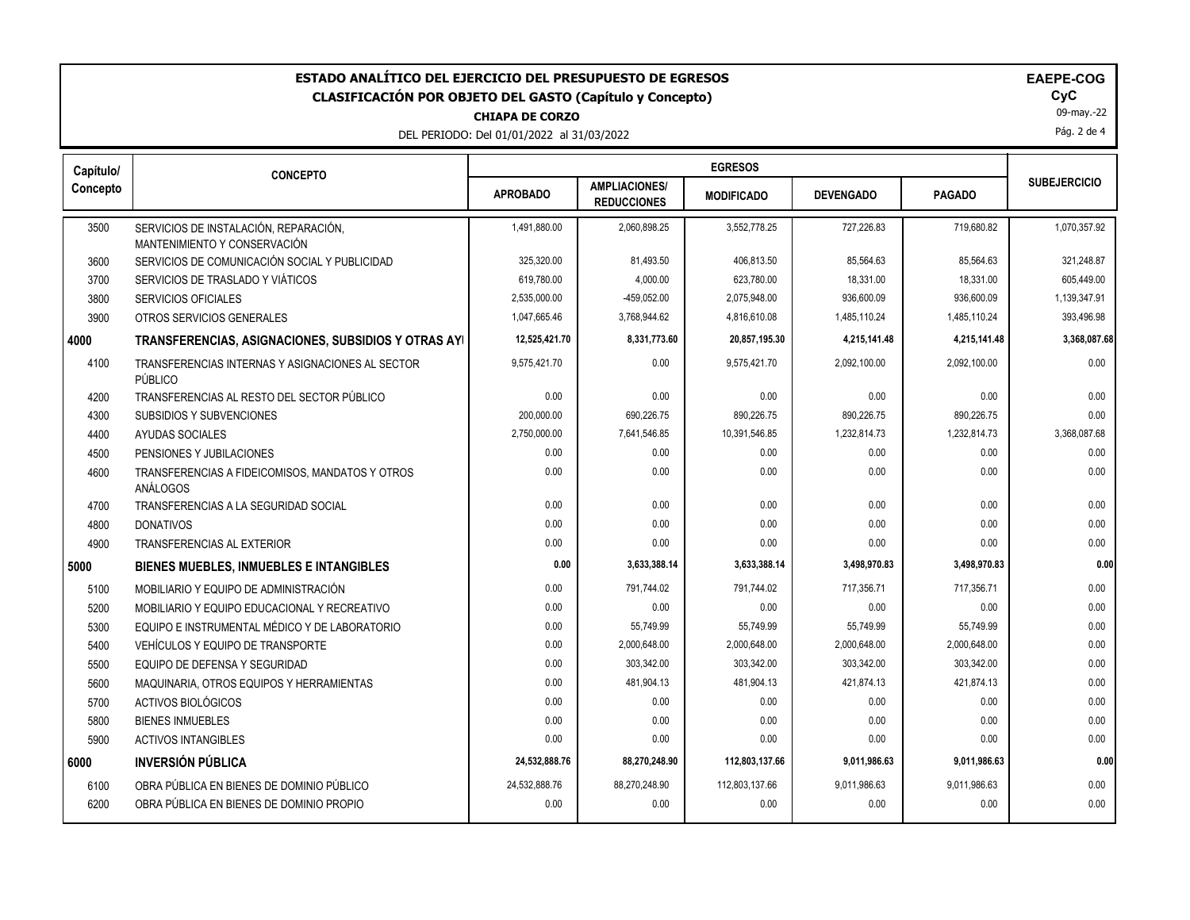| ESTADO ANALÍTICO DEL EJERCICIO DEL PRESUPUESTO DE EGRESOS<br><b>EAEPE-COG</b><br>CyC<br><b>CLASIFICACIÓN POR OBJETO DEL GASTO (Capítulo y Concepto)</b><br>09-may.-22<br><b>CHIAPA DE CORZO</b><br>Pág. 2 de 4<br>DEL PERIODO: Del 01/01/2022 al 31/03/2022 |                                                                       |                 |                                            |                   |                  |               |                     |
|-------------------------------------------------------------------------------------------------------------------------------------------------------------------------------------------------------------------------------------------------------------|-----------------------------------------------------------------------|-----------------|--------------------------------------------|-------------------|------------------|---------------|---------------------|
| Capítulo/                                                                                                                                                                                                                                                   | <b>CONCEPTO</b>                                                       |                 |                                            | <b>EGRESOS</b>    |                  |               |                     |
| Concepto                                                                                                                                                                                                                                                    |                                                                       | <b>APROBADO</b> | <b>AMPLIACIONES/</b><br><b>REDUCCIONES</b> | <b>MODIFICADO</b> | <b>DEVENGADO</b> | <b>PAGADO</b> | <b>SUBEJERCICIO</b> |
| 3500                                                                                                                                                                                                                                                        | SERVICIOS DE INSTALACIÓN, REPARACIÓN,<br>MANTENIMIENTO Y CONSERVACIÓN | 1,491,880.00    | 2,060,898.25                               | 3,552,778.25      | 727,226.83       | 719,680.82    | 1,070,357.92        |
| 3600                                                                                                                                                                                                                                                        | SERVICIOS DE COMUNICACIÓN SOCIAL Y PUBLICIDAD                         | 325,320.00      | 81,493.50                                  | 406,813.50        | 85,564.63        | 85,564.63     | 321,248.87          |
| 3700                                                                                                                                                                                                                                                        | SERVICIOS DE TRASLADO Y VIÁTICOS                                      | 619,780.00      | 4,000.00                                   | 623,780.00        | 18,331.00        | 18,331.00     | 605,449.00          |
| 3800                                                                                                                                                                                                                                                        | <b>SERVICIOS OFICIALES</b>                                            | 2,535,000.00    | -459,052.00                                | 2,075,948.00      | 936,600.09       | 936,600.09    | 1,139,347.91        |
| 3900                                                                                                                                                                                                                                                        | OTROS SERVICIOS GENERALES                                             | 1,047,665.46    | 3,768,944.62                               | 4,816,610.08      | 1,485,110.24     | 1,485,110.24  | 393,496.98          |
| 4000                                                                                                                                                                                                                                                        | TRANSFERENCIAS, ASIGNACIONES, SUBSIDIOS Y OTRAS AYI                   | 12,525,421.70   | 8,331,773.60                               | 20,857,195.30     | 4,215,141.48     | 4,215,141.48  | 3,368,087.68        |
| 4100                                                                                                                                                                                                                                                        | TRANSFERENCIAS INTERNAS Y ASIGNACIONES AL SECTOR<br>PÚBLICO           | 9,575,421.70    | 0.00                                       | 9.575.421.70      | 2.092.100.00     | 2,092,100.00  | 0.00                |
| 4200                                                                                                                                                                                                                                                        | TRANSFERENCIAS AL RESTO DEL SECTOR PÚBLICO                            | 0.00            | 0.00                                       | 0.00              | 0.00             | 0.00          | 0.00                |
| 4300                                                                                                                                                                                                                                                        | SUBSIDIOS Y SUBVENCIONES                                              | 200,000.00      | 690,226.75                                 | 890,226.75        | 890,226.75       | 890,226.75    | 0.00                |
| 4400                                                                                                                                                                                                                                                        | <b>AYUDAS SOCIALES</b>                                                | 2,750,000.00    | 7,641,546.85                               | 10,391,546.85     | 1,232,814.73     | 1,232,814.73  | 3,368,087.68        |
| 4500                                                                                                                                                                                                                                                        | PENSIONES Y JUBILACIONES                                              | 0.00            | 0.00                                       | 0.00              | 0.00             | 0.00          | 0.00                |
| 4600                                                                                                                                                                                                                                                        | TRANSFERENCIAS A FIDEICOMISOS, MANDATOS Y OTROS<br>ANÁLOGOS           | 0.00            | 0.00                                       | 0.00              | 0.00             | 0.00          | 0.00                |
| 4700                                                                                                                                                                                                                                                        | TRANSFERENCIAS A LA SEGURIDAD SOCIAL                                  | 0.00            | 0.00                                       | 0.00              | 0.00             | 0.00          | 0.00                |
| 4800                                                                                                                                                                                                                                                        | <b>DONATIVOS</b>                                                      | 0.00            | 0.00                                       | 0.00              | 0.00             | 0.00          | 0.00                |
| 4900                                                                                                                                                                                                                                                        | <b>TRANSFERENCIAS AL EXTERIOR</b>                                     | 0.00            | 0.00                                       | 0.00              | 0.00             | 0.00          | 0.00                |
| 5000                                                                                                                                                                                                                                                        | <b>BIENES MUEBLES, INMUEBLES E INTANGIBLES</b>                        | 0.00            | 3,633,388.14                               | 3,633,388.14      | 3,498,970.83     | 3,498,970.83  | 0.00                |
| 5100                                                                                                                                                                                                                                                        | MOBILIARIO Y EQUIPO DE ADMINISTRACIÓN                                 | 0.00            | 791,744.02                                 | 791,744.02        | 717,356.71       | 717,356.71    | 0.00                |
| 5200                                                                                                                                                                                                                                                        | MOBILIARIO Y EQUIPO EDUCACIONAL Y RECREATIVO                          | 0.00            | 0.00                                       | 0.00              | 0.00             | 0.00          | 0.00                |
| 5300                                                                                                                                                                                                                                                        | EQUIPO E INSTRUMENTAL MÉDICO Y DE LABORATORIO                         | 0.00            | 55,749.99                                  | 55,749.99         | 55,749.99        | 55,749.99     | 0.00                |
| 5400                                                                                                                                                                                                                                                        | VEHÍCULOS Y EQUIPO DE TRANSPORTE                                      | 0.00            | 2,000,648.00                               | 2,000,648.00      | 2,000,648.00     | 2,000,648.00  | 0.00                |
| 5500                                                                                                                                                                                                                                                        | EQUIPO DE DEFENSA Y SEGURIDAD                                         | 0.00            | 303,342.00                                 | 303,342.00        | 303,342.00       | 303,342.00    | 0.00                |
| 5600                                                                                                                                                                                                                                                        | MAQUINARIA, OTROS EQUIPOS Y HERRAMIENTAS                              | 0.00            | 481,904.13                                 | 481,904.13        | 421,874.13       | 421,874.13    | 0.00                |
| 5700                                                                                                                                                                                                                                                        | ACTIVOS BIOLÓGICOS                                                    | 0.00            | 0.00                                       | 0.00              | 0.00             | 0.00          | 0.00                |
| 5800                                                                                                                                                                                                                                                        | <b>BIENES INMUEBLES</b>                                               | 0.00            | 0.00                                       | 0.00              | 0.00             | 0.00          | 0.00                |
| 5900                                                                                                                                                                                                                                                        | <b>ACTIVOS INTANGIBLES</b>                                            | 0.00            | 0.00                                       | 0.00              | 0.00             | 0.00          | 0.00                |
| 6000                                                                                                                                                                                                                                                        | <b>INVERSIÓN PÚBLICA</b>                                              | 24,532,888.76   | 88,270,248.90                              | 112,803,137.66    | 9,011,986.63     | 9,011,986.63  | 0.00                |
| 6100                                                                                                                                                                                                                                                        | OBRA PÚBLICA EN BIENES DE DOMINIO PÚBLICO                             | 24.532.888.76   | 88,270,248.90                              | 112,803,137.66    | 9.011.986.63     | 9,011,986.63  | 0.00                |
| 6200                                                                                                                                                                                                                                                        | OBRA PÚBLICA EN BIENES DE DOMINIO PROPIO                              | 0.00            | 0.00                                       | 0.00              | 0.00             | 0.00          | 0.00                |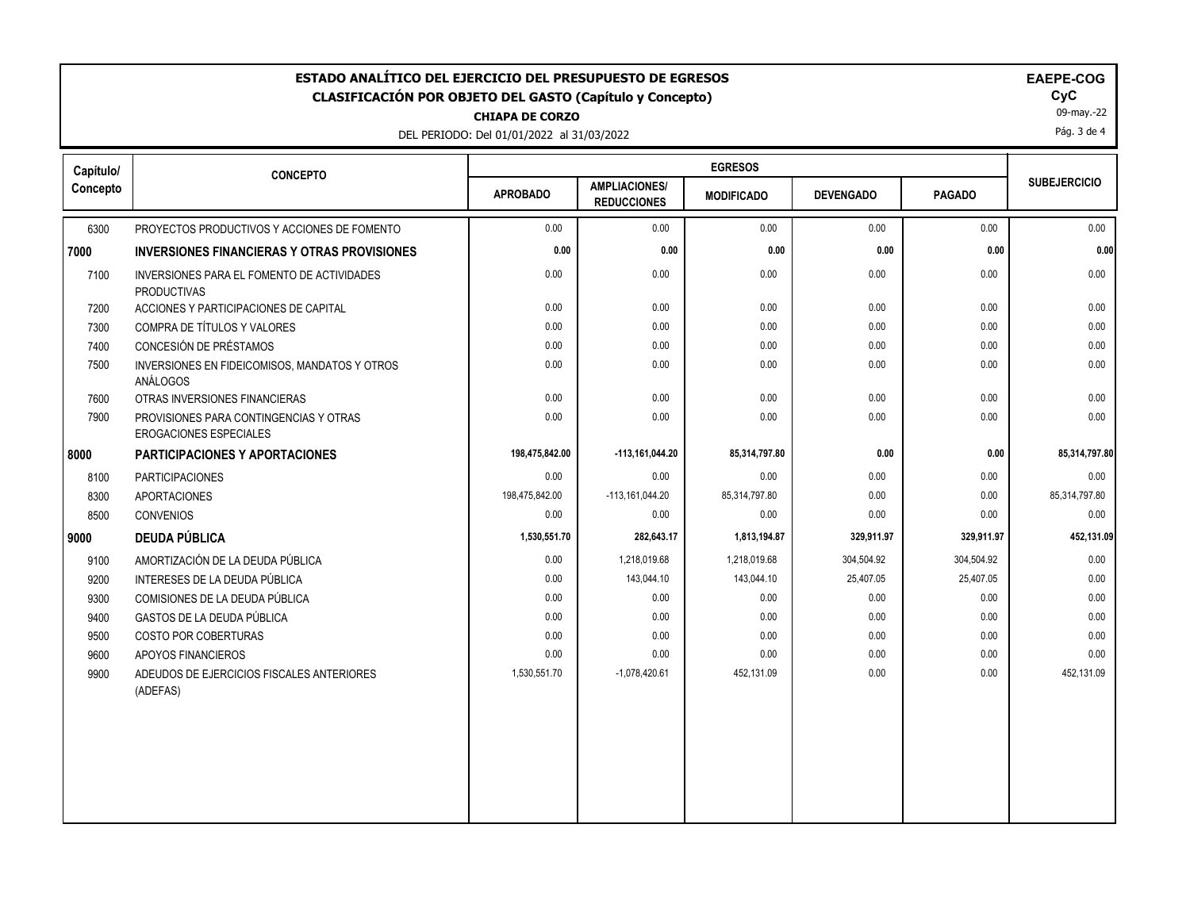| <b>EGRESOS</b><br>Capítulo/<br><b>CONCEPTO</b><br><b>SUBEJERCICIO</b><br><b>AMPLIACIONES/</b><br><b>APROBADO</b><br><b>DEVENGADO</b><br><b>PAGADO</b><br><b>MODIFICADO</b><br><b>REDUCCIONES</b><br>6300<br>PROYECTOS PRODUCTIVOS Y ACCIONES DE FOMENTO<br>0.00<br>0.00<br>0.00<br>0.00<br>0.00<br>0.00<br>0.00<br>0.00<br>0.00<br>0.00<br><b>INVERSIONES FINANCIERAS Y OTRAS PROVISIONES</b><br>0.00<br>0.00<br>0.00<br>0.00<br>0.00<br>7100<br>INVERSIONES PARA EL FOMENTO DE ACTIVIDADES<br><b>PRODUCTIVAS</b><br>0.00<br>7200<br>ACCIONES Y PARTICIPACIONES DE CAPITAL<br>0.00<br>0.00<br>0.00<br>0.00<br>0.00<br>0.00<br>0.00<br>0.00<br>0.00<br>COMPRA DE TÍTULOS Y VALORES<br>7300<br>CONCESIÓN DE PRÉSTAMOS<br>7400<br>0.00<br>0.00<br>0.00<br>0.00<br>0.00<br>0.00<br>0.00<br>0.00<br>0.00<br>0.00<br>7500<br>INVERSIONES EN FIDEICOMISOS, MANDATOS Y OTROS<br>ANÁLOGOS<br>0.00<br>0.00<br>0.00<br>0.00<br>0.00<br>7600<br>OTRAS INVERSIONES FINANCIERAS<br>0.00<br>0.00<br>0.00<br>7900<br>0.00<br>0.00<br>PROVISIONES PARA CONTINGENCIAS Y OTRAS<br>EROGACIONES ESPECIALES<br>198,475,842.00<br>85,314,797.80<br>-113,161,044.20<br>0.00<br>0.00<br><b>PARTICIPACIONES Y APORTACIONES</b><br><b>PARTICIPACIONES</b><br>0.00<br>0.00<br>0.00<br>0.00<br>8100<br>0.00<br>0.00<br>8300<br>198,475,842.00<br>$-113, 161, 044.20$<br>85,314,797.80<br>0.00<br><b>APORTACIONES</b><br>0.00<br>0.00<br>8500<br><b>CONVENIOS</b><br>0.00<br>0.00<br>0.00<br>329,911.97<br><b>DEUDA PÚBLICA</b><br>1,530,551.70<br>282,643.17<br>1,813,194.87<br>329,911.97<br>304,504.92<br>304,504.92<br>9100<br>AMORTIZACIÓN DE LA DEUDA PÚBLICA<br>0.00<br>1,218,019.68<br>1,218,019.68<br>9200<br>INTERESES DE LA DEUDA PÚBLICA<br>0.00<br>143,044.10<br>143,044.10<br>25,407.05<br>25,407.05<br>0.00<br>0.00<br>0.00<br>0.00<br>9300<br>COMISIONES DE LA DEUDA PÚBLICA<br>0.00<br>0.00<br>0.00<br>0.00<br>GASTOS DE LA DEUDA PÚBLICA<br>0.00<br>0.00<br>9400<br>0.00<br>0.00<br>9500<br>0.00<br>0.00<br>0.00<br>COSTO POR COBERTURAS<br>0.00<br>0.00<br>0.00<br>0.00<br>0.00<br>9600<br>APOYOS FINANCIEROS<br>0.00<br>9900<br>1,530,551.70<br>$-1,078,420.61$<br>452,131.09<br>0.00<br>ADEUDOS DE EJERCICIOS FISCALES ANTERIORES<br>(ADEFAS) | ESTADO ANALÍTICO DEL EJERCICIO DEL PRESUPUESTO DE EGRESOS<br>EAEPE-COG<br>CyC<br><b>CLASIFICACIÓN POR OBJETO DEL GASTO (Capítulo y Concepto)</b><br>09-may.-22<br><b>CHIAPA DE CORZO</b><br>Pág. 3 de 4<br>DEL PERIODO: Del 01/01/2022 al 31/03/2022 |  |  |  |  |  |  |               |
|--------------------------------------------------------------------------------------------------------------------------------------------------------------------------------------------------------------------------------------------------------------------------------------------------------------------------------------------------------------------------------------------------------------------------------------------------------------------------------------------------------------------------------------------------------------------------------------------------------------------------------------------------------------------------------------------------------------------------------------------------------------------------------------------------------------------------------------------------------------------------------------------------------------------------------------------------------------------------------------------------------------------------------------------------------------------------------------------------------------------------------------------------------------------------------------------------------------------------------------------------------------------------------------------------------------------------------------------------------------------------------------------------------------------------------------------------------------------------------------------------------------------------------------------------------------------------------------------------------------------------------------------------------------------------------------------------------------------------------------------------------------------------------------------------------------------------------------------------------------------------------------------------------------------------------------------------------------------------------------------------------------------------------------------------------------------------------------------------------------------------------------------------------------------------------------------------------------------------------------|------------------------------------------------------------------------------------------------------------------------------------------------------------------------------------------------------------------------------------------------------|--|--|--|--|--|--|---------------|
|                                                                                                                                                                                                                                                                                                                                                                                                                                                                                                                                                                                                                                                                                                                                                                                                                                                                                                                                                                                                                                                                                                                                                                                                                                                                                                                                                                                                                                                                                                                                                                                                                                                                                                                                                                                                                                                                                                                                                                                                                                                                                                                                                                                                                                      |                                                                                                                                                                                                                                                      |  |  |  |  |  |  |               |
|                                                                                                                                                                                                                                                                                                                                                                                                                                                                                                                                                                                                                                                                                                                                                                                                                                                                                                                                                                                                                                                                                                                                                                                                                                                                                                                                                                                                                                                                                                                                                                                                                                                                                                                                                                                                                                                                                                                                                                                                                                                                                                                                                                                                                                      | Concepto                                                                                                                                                                                                                                             |  |  |  |  |  |  |               |
|                                                                                                                                                                                                                                                                                                                                                                                                                                                                                                                                                                                                                                                                                                                                                                                                                                                                                                                                                                                                                                                                                                                                                                                                                                                                                                                                                                                                                                                                                                                                                                                                                                                                                                                                                                                                                                                                                                                                                                                                                                                                                                                                                                                                                                      |                                                                                                                                                                                                                                                      |  |  |  |  |  |  | 0.00          |
|                                                                                                                                                                                                                                                                                                                                                                                                                                                                                                                                                                                                                                                                                                                                                                                                                                                                                                                                                                                                                                                                                                                                                                                                                                                                                                                                                                                                                                                                                                                                                                                                                                                                                                                                                                                                                                                                                                                                                                                                                                                                                                                                                                                                                                      | 7000                                                                                                                                                                                                                                                 |  |  |  |  |  |  | 0.00          |
|                                                                                                                                                                                                                                                                                                                                                                                                                                                                                                                                                                                                                                                                                                                                                                                                                                                                                                                                                                                                                                                                                                                                                                                                                                                                                                                                                                                                                                                                                                                                                                                                                                                                                                                                                                                                                                                                                                                                                                                                                                                                                                                                                                                                                                      |                                                                                                                                                                                                                                                      |  |  |  |  |  |  | 0.00          |
|                                                                                                                                                                                                                                                                                                                                                                                                                                                                                                                                                                                                                                                                                                                                                                                                                                                                                                                                                                                                                                                                                                                                                                                                                                                                                                                                                                                                                                                                                                                                                                                                                                                                                                                                                                                                                                                                                                                                                                                                                                                                                                                                                                                                                                      |                                                                                                                                                                                                                                                      |  |  |  |  |  |  | 0.00          |
|                                                                                                                                                                                                                                                                                                                                                                                                                                                                                                                                                                                                                                                                                                                                                                                                                                                                                                                                                                                                                                                                                                                                                                                                                                                                                                                                                                                                                                                                                                                                                                                                                                                                                                                                                                                                                                                                                                                                                                                                                                                                                                                                                                                                                                      |                                                                                                                                                                                                                                                      |  |  |  |  |  |  | 0.00          |
|                                                                                                                                                                                                                                                                                                                                                                                                                                                                                                                                                                                                                                                                                                                                                                                                                                                                                                                                                                                                                                                                                                                                                                                                                                                                                                                                                                                                                                                                                                                                                                                                                                                                                                                                                                                                                                                                                                                                                                                                                                                                                                                                                                                                                                      |                                                                                                                                                                                                                                                      |  |  |  |  |  |  | 0.00          |
|                                                                                                                                                                                                                                                                                                                                                                                                                                                                                                                                                                                                                                                                                                                                                                                                                                                                                                                                                                                                                                                                                                                                                                                                                                                                                                                                                                                                                                                                                                                                                                                                                                                                                                                                                                                                                                                                                                                                                                                                                                                                                                                                                                                                                                      |                                                                                                                                                                                                                                                      |  |  |  |  |  |  | 0.00          |
|                                                                                                                                                                                                                                                                                                                                                                                                                                                                                                                                                                                                                                                                                                                                                                                                                                                                                                                                                                                                                                                                                                                                                                                                                                                                                                                                                                                                                                                                                                                                                                                                                                                                                                                                                                                                                                                                                                                                                                                                                                                                                                                                                                                                                                      |                                                                                                                                                                                                                                                      |  |  |  |  |  |  | 0.00          |
|                                                                                                                                                                                                                                                                                                                                                                                                                                                                                                                                                                                                                                                                                                                                                                                                                                                                                                                                                                                                                                                                                                                                                                                                                                                                                                                                                                                                                                                                                                                                                                                                                                                                                                                                                                                                                                                                                                                                                                                                                                                                                                                                                                                                                                      |                                                                                                                                                                                                                                                      |  |  |  |  |  |  | 0.00          |
|                                                                                                                                                                                                                                                                                                                                                                                                                                                                                                                                                                                                                                                                                                                                                                                                                                                                                                                                                                                                                                                                                                                                                                                                                                                                                                                                                                                                                                                                                                                                                                                                                                                                                                                                                                                                                                                                                                                                                                                                                                                                                                                                                                                                                                      | 8000                                                                                                                                                                                                                                                 |  |  |  |  |  |  | 85,314,797.80 |
|                                                                                                                                                                                                                                                                                                                                                                                                                                                                                                                                                                                                                                                                                                                                                                                                                                                                                                                                                                                                                                                                                                                                                                                                                                                                                                                                                                                                                                                                                                                                                                                                                                                                                                                                                                                                                                                                                                                                                                                                                                                                                                                                                                                                                                      |                                                                                                                                                                                                                                                      |  |  |  |  |  |  | 0.00          |
|                                                                                                                                                                                                                                                                                                                                                                                                                                                                                                                                                                                                                                                                                                                                                                                                                                                                                                                                                                                                                                                                                                                                                                                                                                                                                                                                                                                                                                                                                                                                                                                                                                                                                                                                                                                                                                                                                                                                                                                                                                                                                                                                                                                                                                      |                                                                                                                                                                                                                                                      |  |  |  |  |  |  | 85,314,797.80 |
|                                                                                                                                                                                                                                                                                                                                                                                                                                                                                                                                                                                                                                                                                                                                                                                                                                                                                                                                                                                                                                                                                                                                                                                                                                                                                                                                                                                                                                                                                                                                                                                                                                                                                                                                                                                                                                                                                                                                                                                                                                                                                                                                                                                                                                      |                                                                                                                                                                                                                                                      |  |  |  |  |  |  | 0.00          |
|                                                                                                                                                                                                                                                                                                                                                                                                                                                                                                                                                                                                                                                                                                                                                                                                                                                                                                                                                                                                                                                                                                                                                                                                                                                                                                                                                                                                                                                                                                                                                                                                                                                                                                                                                                                                                                                                                                                                                                                                                                                                                                                                                                                                                                      | 9000                                                                                                                                                                                                                                                 |  |  |  |  |  |  | 452,131.09    |
|                                                                                                                                                                                                                                                                                                                                                                                                                                                                                                                                                                                                                                                                                                                                                                                                                                                                                                                                                                                                                                                                                                                                                                                                                                                                                                                                                                                                                                                                                                                                                                                                                                                                                                                                                                                                                                                                                                                                                                                                                                                                                                                                                                                                                                      |                                                                                                                                                                                                                                                      |  |  |  |  |  |  | 0.00          |
|                                                                                                                                                                                                                                                                                                                                                                                                                                                                                                                                                                                                                                                                                                                                                                                                                                                                                                                                                                                                                                                                                                                                                                                                                                                                                                                                                                                                                                                                                                                                                                                                                                                                                                                                                                                                                                                                                                                                                                                                                                                                                                                                                                                                                                      |                                                                                                                                                                                                                                                      |  |  |  |  |  |  | 0.00          |
|                                                                                                                                                                                                                                                                                                                                                                                                                                                                                                                                                                                                                                                                                                                                                                                                                                                                                                                                                                                                                                                                                                                                                                                                                                                                                                                                                                                                                                                                                                                                                                                                                                                                                                                                                                                                                                                                                                                                                                                                                                                                                                                                                                                                                                      |                                                                                                                                                                                                                                                      |  |  |  |  |  |  | 0.00          |
|                                                                                                                                                                                                                                                                                                                                                                                                                                                                                                                                                                                                                                                                                                                                                                                                                                                                                                                                                                                                                                                                                                                                                                                                                                                                                                                                                                                                                                                                                                                                                                                                                                                                                                                                                                                                                                                                                                                                                                                                                                                                                                                                                                                                                                      |                                                                                                                                                                                                                                                      |  |  |  |  |  |  | 0.00          |
|                                                                                                                                                                                                                                                                                                                                                                                                                                                                                                                                                                                                                                                                                                                                                                                                                                                                                                                                                                                                                                                                                                                                                                                                                                                                                                                                                                                                                                                                                                                                                                                                                                                                                                                                                                                                                                                                                                                                                                                                                                                                                                                                                                                                                                      |                                                                                                                                                                                                                                                      |  |  |  |  |  |  | 0.00          |
|                                                                                                                                                                                                                                                                                                                                                                                                                                                                                                                                                                                                                                                                                                                                                                                                                                                                                                                                                                                                                                                                                                                                                                                                                                                                                                                                                                                                                                                                                                                                                                                                                                                                                                                                                                                                                                                                                                                                                                                                                                                                                                                                                                                                                                      |                                                                                                                                                                                                                                                      |  |  |  |  |  |  | 0.00          |
|                                                                                                                                                                                                                                                                                                                                                                                                                                                                                                                                                                                                                                                                                                                                                                                                                                                                                                                                                                                                                                                                                                                                                                                                                                                                                                                                                                                                                                                                                                                                                                                                                                                                                                                                                                                                                                                                                                                                                                                                                                                                                                                                                                                                                                      |                                                                                                                                                                                                                                                      |  |  |  |  |  |  | 452,131.09    |